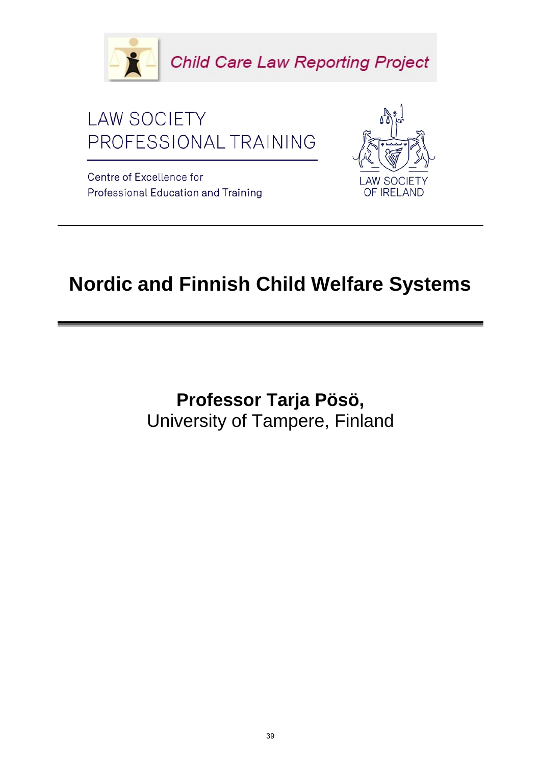



Centre of Excellence for Professional Education and Training



## **Nordic and Finnish Child Welfare Systems**

**Professor Tarja Pösö,**  University of Tampere, Finland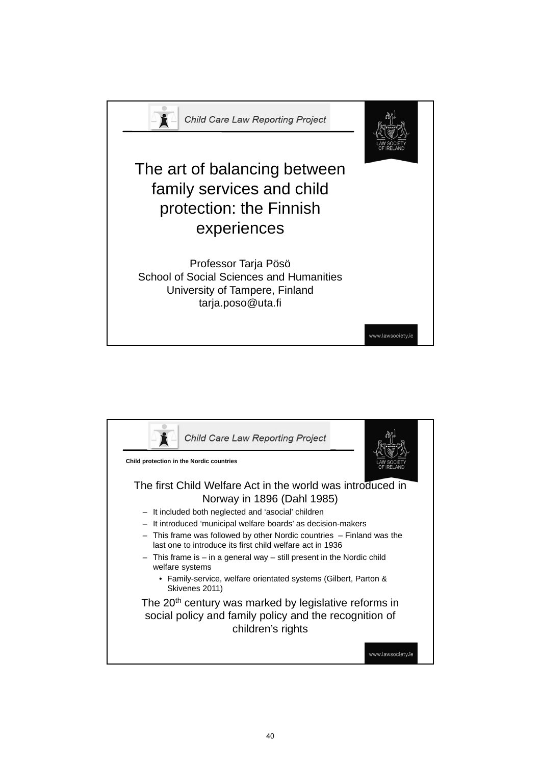

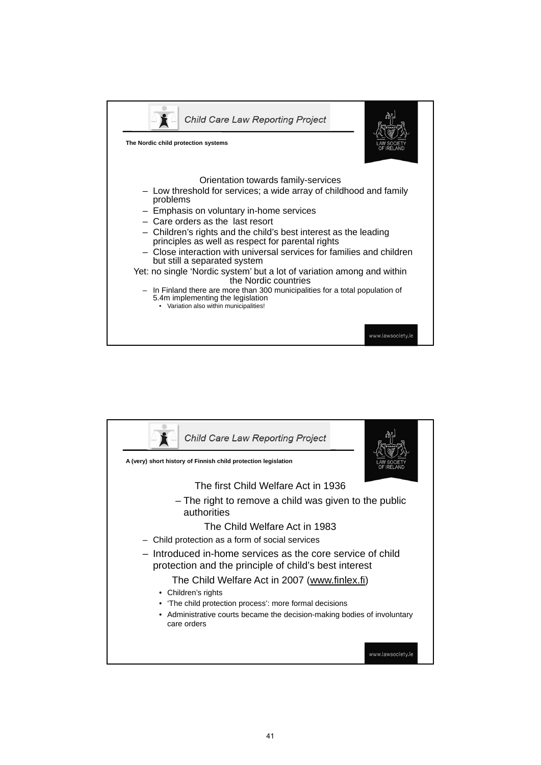

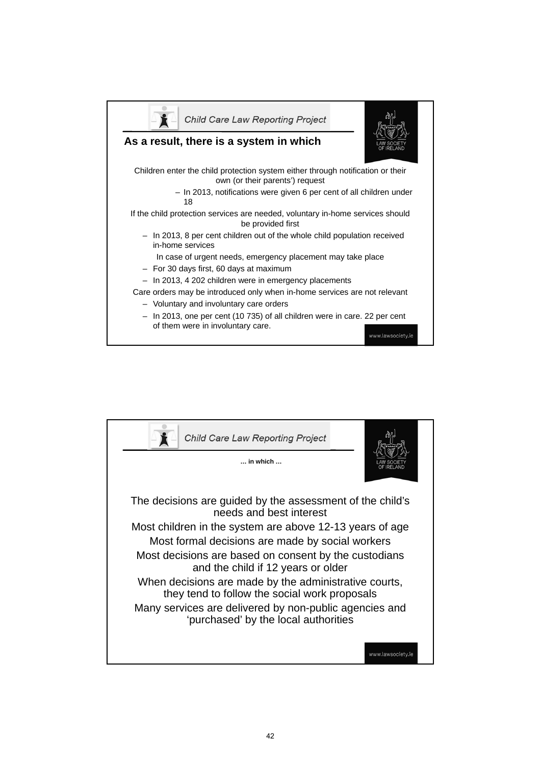

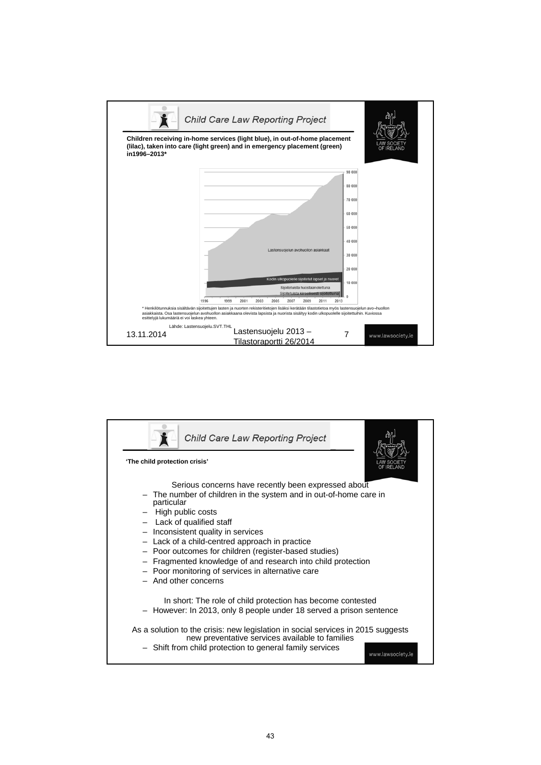

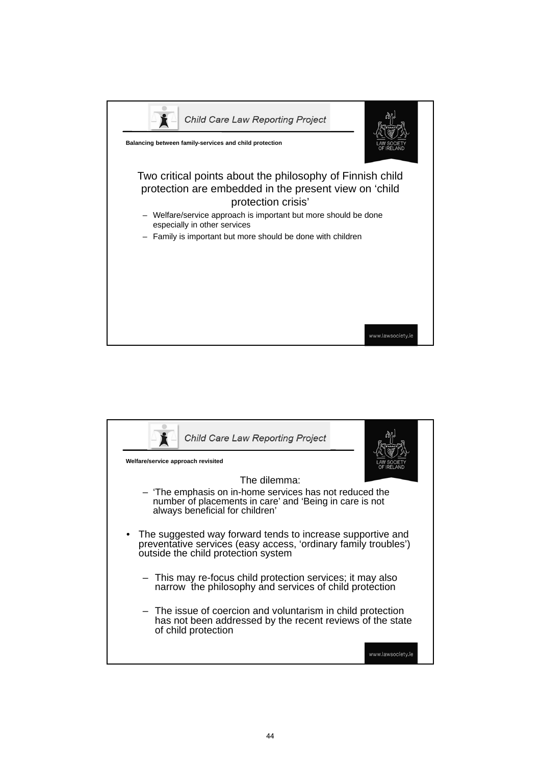

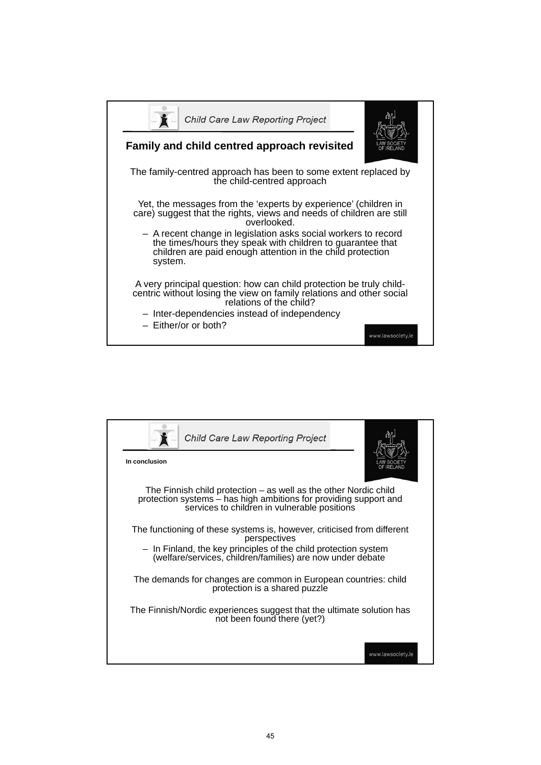